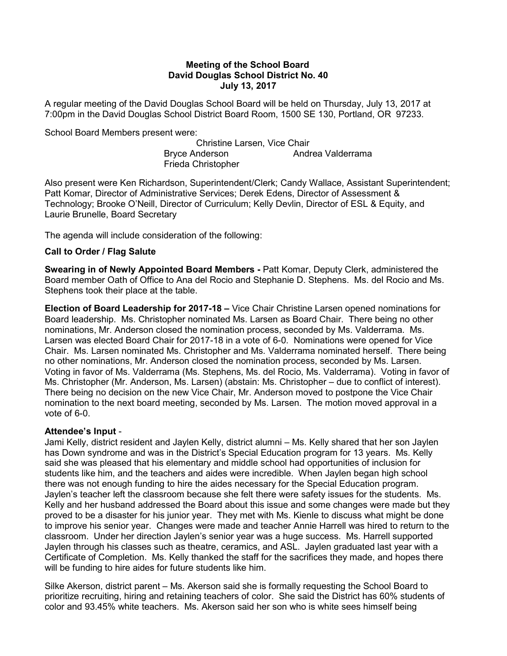## Meeting of the School Board David Douglas School District No. 40 July 13, 2017

A regular meeting of the David Douglas School Board will be held on Thursday, July 13, 2017 at 7:00pm in the David Douglas School District Board Room, 1500 SE 130, Portland, OR 97233.

School Board Members present were:

 Christine Larsen, Vice Chair Bryce Anderson **Andrea Valderrama** Frieda Christopher

Also present were Ken Richardson, Superintendent/Clerk; Candy Wallace, Assistant Superintendent; Patt Komar, Director of Administrative Services; Derek Edens, Director of Assessment & Technology; Brooke O'Neill, Director of Curriculum; Kelly Devlin, Director of ESL & Equity, and Laurie Brunelle, Board Secretary

The agenda will include consideration of the following:

# Call to Order / Flag Salute

Swearing in of Newly Appointed Board Members - Patt Komar, Deputy Clerk, administered the Board member Oath of Office to Ana del Rocio and Stephanie D. Stephens. Ms. del Rocio and Ms. Stephens took their place at the table.

Election of Board Leadership for 2017-18 – Vice Chair Christine Larsen opened nominations for Board leadership. Ms. Christopher nominated Ms. Larsen as Board Chair. There being no other nominations, Mr. Anderson closed the nomination process, seconded by Ms. Valderrama. Ms. Larsen was elected Board Chair for 2017-18 in a vote of 6-0. Nominations were opened for Vice Chair. Ms. Larsen nominated Ms. Christopher and Ms. Valderrama nominated herself. There being no other nominations, Mr. Anderson closed the nomination process, seconded by Ms. Larsen. Voting in favor of Ms. Valderrama (Ms. Stephens, Ms. del Rocio, Ms. Valderrama). Voting in favor of Ms. Christopher (Mr. Anderson, Ms. Larsen) (abstain: Ms. Christopher – due to conflict of interest). There being no decision on the new Vice Chair, Mr. Anderson moved to postpone the Vice Chair nomination to the next board meeting, seconded by Ms. Larsen. The motion moved approval in a vote of 6-0.

### Attendee's Input -

Jami Kelly, district resident and Jaylen Kelly, district alumni – Ms. Kelly shared that her son Jaylen has Down syndrome and was in the District's Special Education program for 13 years. Ms. Kelly said she was pleased that his elementary and middle school had opportunities of inclusion for students like him, and the teachers and aides were incredible. When Jaylen began high school there was not enough funding to hire the aides necessary for the Special Education program. Jaylen's teacher left the classroom because she felt there were safety issues for the students. Ms. Kelly and her husband addressed the Board about this issue and some changes were made but they proved to be a disaster for his junior year. They met with Ms. Kienle to discuss what might be done to improve his senior year. Changes were made and teacher Annie Harrell was hired to return to the classroom. Under her direction Jaylen's senior year was a huge success. Ms. Harrell supported Jaylen through his classes such as theatre, ceramics, and ASL. Jaylen graduated last year with a Certificate of Completion. Ms. Kelly thanked the staff for the sacrifices they made, and hopes there will be funding to hire aides for future students like him.

Silke Akerson, district parent – Ms. Akerson said she is formally requesting the School Board to prioritize recruiting, hiring and retaining teachers of color. She said the District has 60% students of color and 93.45% white teachers. Ms. Akerson said her son who is white sees himself being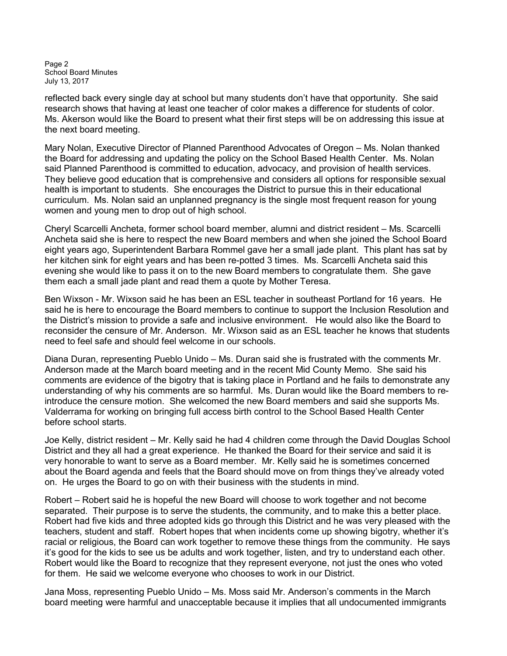Page 2 School Board Minutes July 13, 2017

reflected back every single day at school but many students don't have that opportunity. She said research shows that having at least one teacher of color makes a difference for students of color. Ms. Akerson would like the Board to present what their first steps will be on addressing this issue at the next board meeting.

Mary Nolan, Executive Director of Planned Parenthood Advocates of Oregon – Ms. Nolan thanked the Board for addressing and updating the policy on the School Based Health Center. Ms. Nolan said Planned Parenthood is committed to education, advocacy, and provision of health services. They believe good education that is comprehensive and considers all options for responsible sexual health is important to students. She encourages the District to pursue this in their educational curriculum. Ms. Nolan said an unplanned pregnancy is the single most frequent reason for young women and young men to drop out of high school.

Cheryl Scarcelli Ancheta, former school board member, alumni and district resident – Ms. Scarcelli Ancheta said she is here to respect the new Board members and when she joined the School Board eight years ago, Superintendent Barbara Rommel gave her a small jade plant. This plant has sat by her kitchen sink for eight years and has been re-potted 3 times. Ms. Scarcelli Ancheta said this evening she would like to pass it on to the new Board members to congratulate them. She gave them each a small jade plant and read them a quote by Mother Teresa.

Ben Wixson - Mr. Wixson said he has been an ESL teacher in southeast Portland for 16 years. He said he is here to encourage the Board members to continue to support the Inclusion Resolution and the District's mission to provide a safe and inclusive environment. He would also like the Board to reconsider the censure of Mr. Anderson. Mr. Wixson said as an ESL teacher he knows that students need to feel safe and should feel welcome in our schools.

Diana Duran, representing Pueblo Unido – Ms. Duran said she is frustrated with the comments Mr. Anderson made at the March board meeting and in the recent Mid County Memo. She said his comments are evidence of the bigotry that is taking place in Portland and he fails to demonstrate any understanding of why his comments are so harmful. Ms. Duran would like the Board members to reintroduce the censure motion. She welcomed the new Board members and said she supports Ms. Valderrama for working on bringing full access birth control to the School Based Health Center before school starts.

Joe Kelly, district resident – Mr. Kelly said he had 4 children come through the David Douglas School District and they all had a great experience. He thanked the Board for their service and said it is very honorable to want to serve as a Board member. Mr. Kelly said he is sometimes concerned about the Board agenda and feels that the Board should move on from things they've already voted on. He urges the Board to go on with their business with the students in mind.

Robert – Robert said he is hopeful the new Board will choose to work together and not become separated. Their purpose is to serve the students, the community, and to make this a better place. Robert had five kids and three adopted kids go through this District and he was very pleased with the teachers, student and staff. Robert hopes that when incidents come up showing bigotry, whether it's racial or religious, the Board can work together to remove these things from the community. He says it's good for the kids to see us be adults and work together, listen, and try to understand each other. Robert would like the Board to recognize that they represent everyone, not just the ones who voted for them. He said we welcome everyone who chooses to work in our District.

Jana Moss, representing Pueblo Unido – Ms. Moss said Mr. Anderson's comments in the March board meeting were harmful and unacceptable because it implies that all undocumented immigrants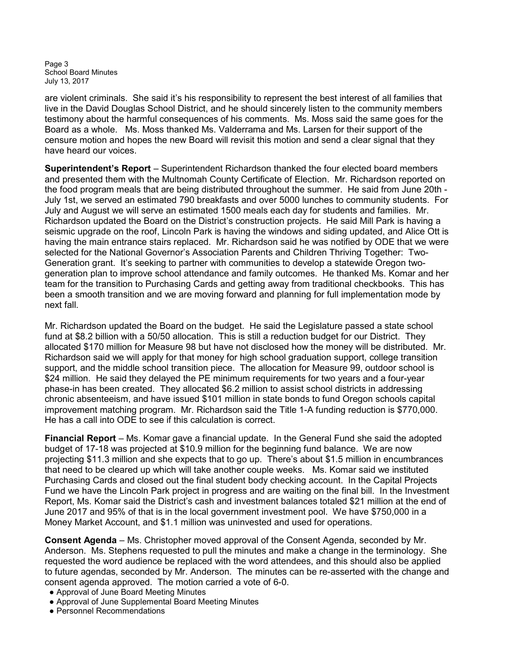Page 3 School Board Minutes July 13, 2017

are violent criminals. She said it's his responsibility to represent the best interest of all families that live in the David Douglas School District, and he should sincerely listen to the community members testimony about the harmful consequences of his comments. Ms. Moss said the same goes for the Board as a whole. Ms. Moss thanked Ms. Valderrama and Ms. Larsen for their support of the censure motion and hopes the new Board will revisit this motion and send a clear signal that they have heard our voices.

Superintendent's Report – Superintendent Richardson thanked the four elected board members and presented them with the Multnomah County Certificate of Election. Mr. Richardson reported on the food program meals that are being distributed throughout the summer. He said from June 20th - July 1st, we served an estimated 790 breakfasts and over 5000 lunches to community students. For July and August we will serve an estimated 1500 meals each day for students and families. Mr. Richardson updated the Board on the District's construction projects. He said Mill Park is having a seismic upgrade on the roof, Lincoln Park is having the windows and siding updated, and Alice Ott is having the main entrance stairs replaced. Mr. Richardson said he was notified by ODE that we were selected for the National Governor's Association Parents and Children Thriving Together: Two-Generation grant. It's seeking to partner with communities to develop a statewide Oregon twogeneration plan to improve school attendance and family outcomes. He thanked Ms. Komar and her team for the transition to Purchasing Cards and getting away from traditional checkbooks. This has been a smooth transition and we are moving forward and planning for full implementation mode by next fall.

Mr. Richardson updated the Board on the budget. He said the Legislature passed a state school fund at \$8.2 billion with a 50/50 allocation. This is still a reduction budget for our District. They allocated \$170 million for Measure 98 but have not disclosed how the money will be distributed. Mr. Richardson said we will apply for that money for high school graduation support, college transition support, and the middle school transition piece. The allocation for Measure 99, outdoor school is \$24 million. He said they delayed the PE minimum requirements for two years and a four-year phase-in has been created. They allocated \$6.2 million to assist school districts in addressing chronic absenteeism, and have issued \$101 million in state bonds to fund Oregon schools capital improvement matching program. Mr. Richardson said the Title 1-A funding reduction is \$770,000. He has a call into ODE to see if this calculation is correct.

Financial Report – Ms. Komar gave a financial update. In the General Fund she said the adopted budget of 17-18 was projected at \$10.9 million for the beginning fund balance. We are now projecting \$11.3 million and she expects that to go up. There's about \$1.5 million in encumbrances that need to be cleared up which will take another couple weeks. Ms. Komar said we instituted Purchasing Cards and closed out the final student body checking account. In the Capital Projects Fund we have the Lincoln Park project in progress and are waiting on the final bill. In the Investment Report, Ms. Komar said the District's cash and investment balances totaled \$21 million at the end of June 2017 and 95% of that is in the local government investment pool. We have \$750,000 in a Money Market Account, and \$1.1 million was uninvested and used for operations.

Consent Agenda – Ms. Christopher moved approval of the Consent Agenda, seconded by Mr. Anderson. Ms. Stephens requested to pull the minutes and make a change in the terminology. She requested the word audience be replaced with the word attendees, and this should also be applied to future agendas, seconded by Mr. Anderson. The minutes can be re-asserted with the change and consent agenda approved. The motion carried a vote of 6-0.

- Approval of June Board Meeting Minutes
- Approval of June Supplemental Board Meeting Minutes
- Personnel Recommendations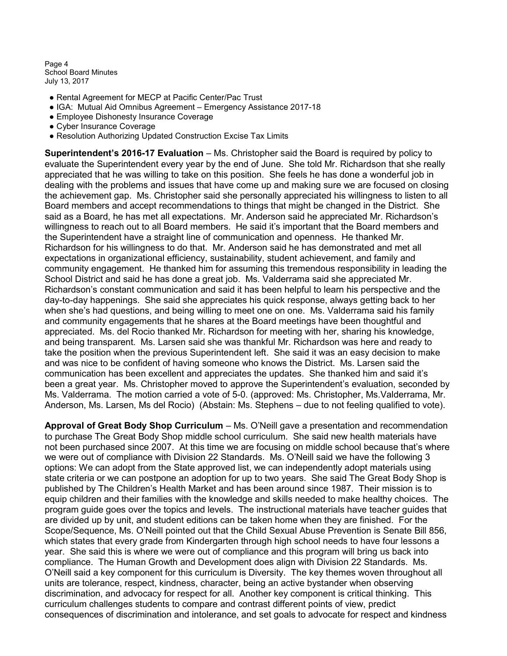Page 4 School Board Minutes July 13, 2017

- Rental Agreement for MECP at Pacific Center/Pac Trust
- IGA: Mutual Aid Omnibus Agreement Emergency Assistance 2017-18
- Employee Dishonesty Insurance Coverage
- Cyber Insurance Coverage
- Resolution Authorizing Updated Construction Excise Tax Limits

Superintendent's 2016-17 Evaluation – Ms. Christopher said the Board is required by policy to evaluate the Superintendent every year by the end of June. She told Mr. Richardson that she really appreciated that he was willing to take on this position. She feels he has done a wonderful job in dealing with the problems and issues that have come up and making sure we are focused on closing the achievement gap. Ms. Christopher said she personally appreciated his willingness to listen to all Board members and accept recommendations to things that might be changed in the District. She said as a Board, he has met all expectations. Mr. Anderson said he appreciated Mr. Richardson's willingness to reach out to all Board members. He said it's important that the Board members and the Superintendent have a straight line of communication and openness. He thanked Mr. Richardson for his willingness to do that. Mr. Anderson said he has demonstrated and met all expectations in organizational efficiency, sustainability, student achievement, and family and community engagement. He thanked him for assuming this tremendous responsibility in leading the School District and said he has done a great job. Ms. Valderrama said she appreciated Mr. Richardson's constant communication and said it has been helpful to learn his perspective and the day-to-day happenings. She said she appreciates his quick response, always getting back to her when she's had questions, and being willing to meet one on one. Ms. Valderrama said his family and community engagements that he shares at the Board meetings have been thoughtful and appreciated. Ms. del Rocio thanked Mr. Richardson for meeting with her, sharing his knowledge, and being transparent. Ms. Larsen said she was thankful Mr. Richardson was here and ready to take the position when the previous Superintendent left. She said it was an easy decision to make and was nice to be confident of having someone who knows the District. Ms. Larsen said the communication has been excellent and appreciates the updates. She thanked him and said it's been a great year. Ms. Christopher moved to approve the Superintendent's evaluation, seconded by Ms. Valderrama. The motion carried a vote of 5-0. (approved: Ms. Christopher, Ms.Valderrama, Mr. Anderson, Ms. Larsen, Ms del Rocio) (Abstain: Ms. Stephens – due to not feeling qualified to vote).

Approval of Great Body Shop Curriculum – Ms. O'Neill gave a presentation and recommendation to purchase The Great Body Shop middle school curriculum. She said new health materials have not been purchased since 2007. At this time we are focusing on middle school because that's where we were out of compliance with Division 22 Standards. Ms. O'Neill said we have the following 3 options: We can adopt from the State approved list, we can independently adopt materials using state criteria or we can postpone an adoption for up to two years. She said The Great Body Shop is published by The Children's Health Market and has been around since 1987. Their mission is to equip children and their families with the knowledge and skills needed to make healthy choices. The program guide goes over the topics and levels. The instructional materials have teacher guides that are divided up by unit, and student editions can be taken home when they are finished. For the Scope/Sequence, Ms. O'Neill pointed out that the Child Sexual Abuse Prevention is Senate Bill 856, which states that every grade from Kindergarten through high school needs to have four lessons a year. She said this is where we were out of compliance and this program will bring us back into compliance. The Human Growth and Development does align with Division 22 Standards. Ms. O'Neill said a key component for this curriculum is Diversity. The key themes woven throughout all units are tolerance, respect, kindness, character, being an active bystander when observing discrimination, and advocacy for respect for all. Another key component is critical thinking. This curriculum challenges students to compare and contrast different points of view, predict consequences of discrimination and intolerance, and set goals to advocate for respect and kindness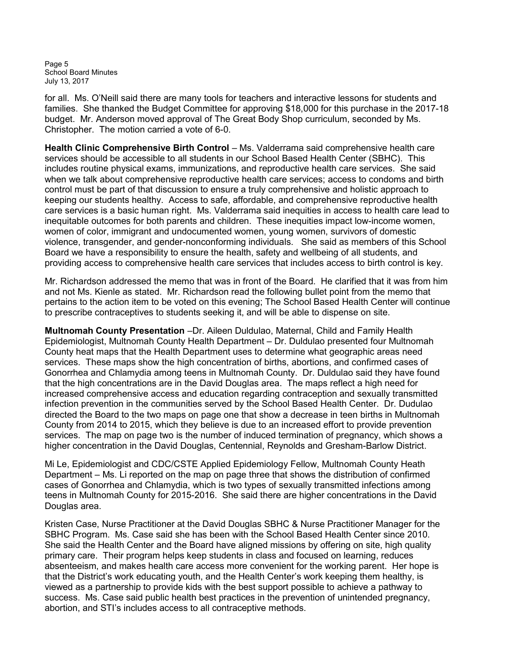Page 5 School Board Minutes July 13, 2017

for all. Ms. O'Neill said there are many tools for teachers and interactive lessons for students and families. She thanked the Budget Committee for approving \$18,000 for this purchase in the 2017-18 budget. Mr. Anderson moved approval of The Great Body Shop curriculum, seconded by Ms. Christopher. The motion carried a vote of 6-0.

Health Clinic Comprehensive Birth Control – Ms. Valderrama said comprehensive health care services should be accessible to all students in our School Based Health Center (SBHC). This includes routine physical exams, immunizations, and reproductive health care services. She said when we talk about comprehensive reproductive health care services; access to condoms and birth control must be part of that discussion to ensure a truly comprehensive and holistic approach to keeping our students healthy. Access to safe, affordable, and comprehensive reproductive health care services is a basic human right. Ms. Valderrama said inequities in access to health care lead to inequitable outcomes for both parents and children. These inequities impact low-income women, women of color, immigrant and undocumented women, young women, survivors of domestic violence, transgender, and gender-nonconforming individuals. She said as members of this School Board we have a responsibility to ensure the health, safety and wellbeing of all students, and providing access to comprehensive health care services that includes access to birth control is key.

Mr. Richardson addressed the memo that was in front of the Board. He clarified that it was from him and not Ms. Kienle as stated. Mr. Richardson read the following bullet point from the memo that pertains to the action item to be voted on this evening; The School Based Health Center will continue to prescribe contraceptives to students seeking it, and will be able to dispense on site.

Multnomah County Presentation –Dr. Aileen Duldulao, Maternal, Child and Family Health Epidemiologist, Multnomah County Health Department – Dr. Duldulao presented four Multnomah County heat maps that the Health Department uses to determine what geographic areas need services. These maps show the high concentration of births, abortions, and confirmed cases of Gonorrhea and Chlamydia among teens in Multnomah County. Dr. Duldulao said they have found that the high concentrations are in the David Douglas area. The maps reflect a high need for increased comprehensive access and education regarding contraception and sexually transmitted infection prevention in the communities served by the School Based Health Center. Dr. Dudulao directed the Board to the two maps on page one that show a decrease in teen births in Multnomah County from 2014 to 2015, which they believe is due to an increased effort to provide prevention services. The map on page two is the number of induced termination of pregnancy, which shows a higher concentration in the David Douglas, Centennial, Reynolds and Gresham-Barlow District.

Mi Le, Epidemiologist and CDC/CSTE Applied Epidemiology Fellow, Multnomah County Heath Department – Ms. Li reported on the map on page three that shows the distribution of confirmed cases of Gonorrhea and Chlamydia, which is two types of sexually transmitted infections among teens in Multnomah County for 2015-2016. She said there are higher concentrations in the David Douglas area.

Kristen Case, Nurse Practitioner at the David Douglas SBHC & Nurse Practitioner Manager for the SBHC Program. Ms. Case said she has been with the School Based Health Center since 2010. She said the Health Center and the Board have aligned missions by offering on site, high quality primary care. Their program helps keep students in class and focused on learning, reduces absenteeism, and makes health care access more convenient for the working parent. Her hope is that the District's work educating youth, and the Health Center's work keeping them healthy, is viewed as a partnership to provide kids with the best support possible to achieve a pathway to success. Ms. Case said public health best practices in the prevention of unintended pregnancy, abortion, and STI's includes access to all contraceptive methods.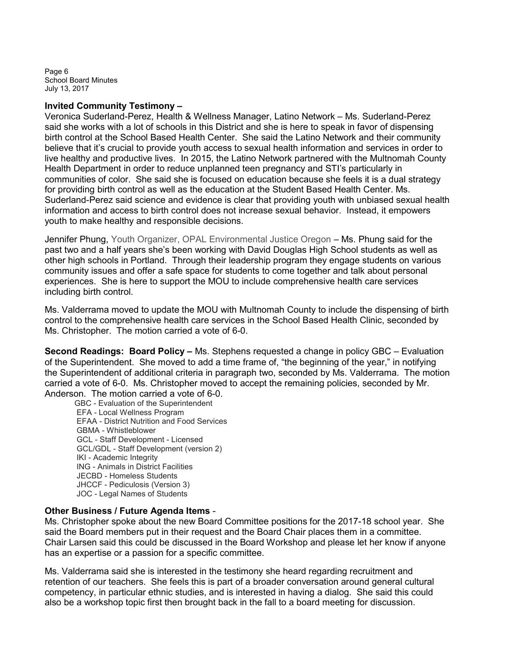Page 6 School Board Minutes July 13, 2017

### Invited Community Testimony –

Veronica Suderland-Perez, Health & Wellness Manager, Latino Network – Ms. Suderland-Perez said she works with a lot of schools in this District and she is here to speak in favor of dispensing birth control at the School Based Health Center. She said the Latino Network and their community believe that it's crucial to provide youth access to sexual health information and services in order to live healthy and productive lives. In 2015, the Latino Network partnered with the Multnomah County Health Department in order to reduce unplanned teen pregnancy and STI's particularly in communities of color. She said she is focused on education because she feels it is a dual strategy for providing birth control as well as the education at the Student Based Health Center. Ms. Suderland-Perez said science and evidence is clear that providing youth with unbiased sexual health information and access to birth control does not increase sexual behavior. Instead, it empowers youth to make healthy and responsible decisions.

Jennifer Phung, Youth Organizer, OPAL Environmental Justice Oregon – Ms. Phung said for the past two and a half years she's been working with David Douglas High School students as well as other high schools in Portland. Through their leadership program they engage students on various community issues and offer a safe space for students to come together and talk about personal experiences. She is here to support the MOU to include comprehensive health care services including birth control.

Ms. Valderrama moved to update the MOU with Multnomah County to include the dispensing of birth control to the comprehensive health care services in the School Based Health Clinic, seconded by Ms. Christopher. The motion carried a vote of 6-0.

Second Readings: Board Policy - Ms. Stephens requested a change in policy GBC - Evaluation of the Superintendent. She moved to add a time frame of, "the beginning of the year," in notifying the Superintendent of additional criteria in paragraph two, seconded by Ms. Valderrama. The motion carried a vote of 6-0. Ms. Christopher moved to accept the remaining policies, seconded by Mr. Anderson. The motion carried a vote of 6-0.

GBC - Evaluation of the Superintendent EFA - Local Wellness Program EFAA - District Nutrition and Food Services GBMA - Whistleblower GCL - Staff Development - Licensed GCL/GDL - Staff Development (version 2) IKI - Academic Integrity ING - Animals in District Facilities JECBD - Homeless Students JHCCF - Pediculosis (Version 3) JOC - Legal Names of Students

### Other Business / Future Agenda Items -

Ms. Christopher spoke about the new Board Committee positions for the 2017-18 school year. She said the Board members put in their request and the Board Chair places them in a committee. Chair Larsen said this could be discussed in the Board Workshop and please let her know if anyone has an expertise or a passion for a specific committee.

Ms. Valderrama said she is interested in the testimony she heard regarding recruitment and retention of our teachers. She feels this is part of a broader conversation around general cultural competency, in particular ethnic studies, and is interested in having a dialog. She said this could also be a workshop topic first then brought back in the fall to a board meeting for discussion.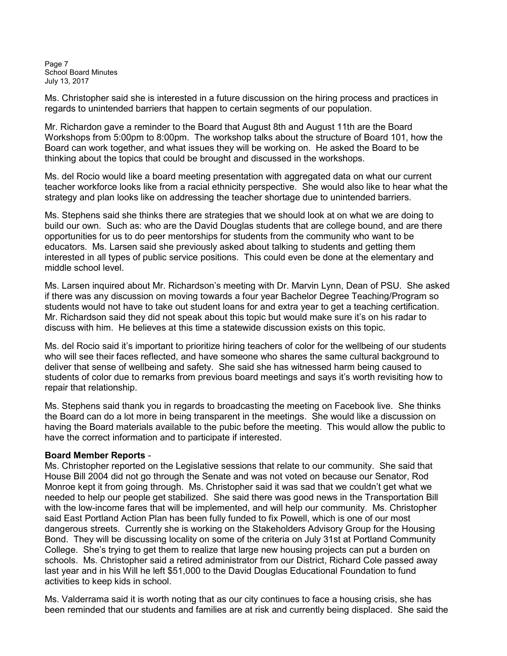Page 7 School Board Minutes July 13, 2017

Ms. Christopher said she is interested in a future discussion on the hiring process and practices in regards to unintended barriers that happen to certain segments of our population.

Mr. Richardon gave a reminder to the Board that August 8th and August 11th are the Board Workshops from 5:00pm to 8:00pm. The workshop talks about the structure of Board 101, how the Board can work together, and what issues they will be working on. He asked the Board to be thinking about the topics that could be brought and discussed in the workshops.

Ms. del Rocio would like a board meeting presentation with aggregated data on what our current teacher workforce looks like from a racial ethnicity perspective. She would also like to hear what the strategy and plan looks like on addressing the teacher shortage due to unintended barriers.

Ms. Stephens said she thinks there are strategies that we should look at on what we are doing to build our own. Such as: who are the David Douglas students that are college bound, and are there opportunities for us to do peer mentorships for students from the community who want to be educators. Ms. Larsen said she previously asked about talking to students and getting them interested in all types of public service positions. This could even be done at the elementary and middle school level.

Ms. Larsen inquired about Mr. Richardson's meeting with Dr. Marvin Lynn, Dean of PSU. She asked if there was any discussion on moving towards a four year Bachelor Degree Teaching/Program so students would not have to take out student loans for and extra year to get a teaching certification. Mr. Richardson said they did not speak about this topic but would make sure it's on his radar to discuss with him. He believes at this time a statewide discussion exists on this topic.

Ms. del Rocio said it's important to prioritize hiring teachers of color for the wellbeing of our students who will see their faces reflected, and have someone who shares the same cultural background to deliver that sense of wellbeing and safety. She said she has witnessed harm being caused to students of color due to remarks from previous board meetings and says it's worth revisiting how to repair that relationship.

Ms. Stephens said thank you in regards to broadcasting the meeting on Facebook live. She thinks the Board can do a lot more in being transparent in the meetings. She would like a discussion on having the Board materials available to the pubic before the meeting. This would allow the public to have the correct information and to participate if interested.

### Board Member Reports -

Ms. Christopher reported on the Legislative sessions that relate to our community. She said that House Bill 2004 did not go through the Senate and was not voted on because our Senator, Rod Monroe kept it from going through. Ms. Christopher said it was sad that we couldn't get what we needed to help our people get stabilized. She said there was good news in the Transportation Bill with the low-income fares that will be implemented, and will help our community. Ms. Christopher said East Portland Action Plan has been fully funded to fix Powell, which is one of our most dangerous streets. Currently she is working on the Stakeholders Advisory Group for the Housing Bond. They will be discussing locality on some of the criteria on July 31st at Portland Community College. She's trying to get them to realize that large new housing projects can put a burden on schools. Ms. Christopher said a retired administrator from our District, Richard Cole passed away last year and in his Will he left \$51,000 to the David Douglas Educational Foundation to fund activities to keep kids in school.

Ms. Valderrama said it is worth noting that as our city continues to face a housing crisis, she has been reminded that our students and families are at risk and currently being displaced. She said the